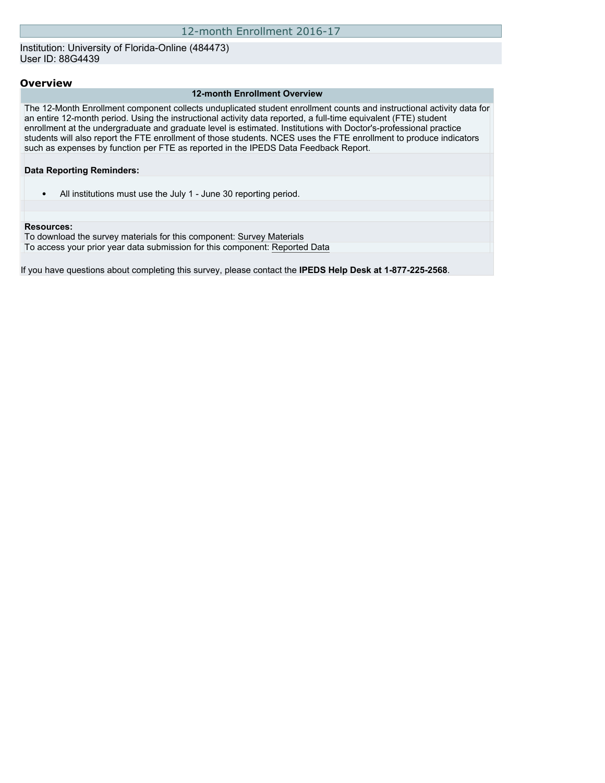#### Institution: University of Florida-Online (484473) User ID: 88G4439

#### **Overview**

#### **12-month Enrollment Overview**

The 12-Month Enrollment component collects unduplicated student enrollment counts and instructional activity data for an entire 12-month period. Using the instructional activity data reported, a full-time equivalent (FTE) student enrollment at the undergraduate and graduate level is estimated. Institutions with Doctor's-professional practice students will also report the FTE enrollment of those students. NCES uses the FTE enrollment to produce indicators such as expenses by function per FTE as reported in the IPEDS Data Feedback Report.

#### **Data Reporting Reminders:**

• All institutions must use the July 1 - June 30 reporting period.

#### **Resources:**

To download the survey materials for this component: [Survey Materials](https://surveys.nces.ed.gov/ipeds/VisIndex.aspx) To access your prior year data submission for this component: [Reported Data](http://192.168.102.89/IPEDS/PriorYearDataRedirect.aspx?survey_id=9)

If you have questions about completing this survey, please contact the **IPEDS Help Desk at 1-877-225-2568**.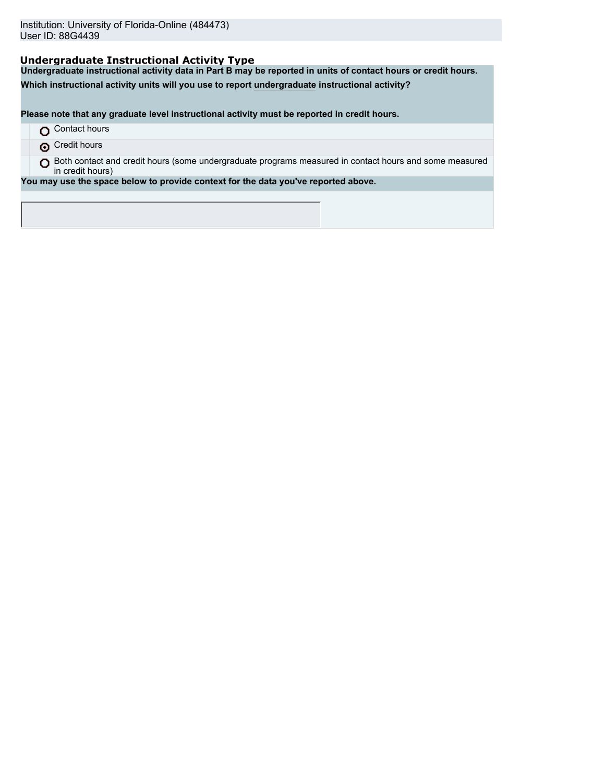## **Undergraduate Instructional Activity Type**

**Undergraduate instructional activity data in Part B may be reported in units of contact hours or credit hours.**

**Which instructional activity units will you use to report undergraduate instructional activity?**

**Please note that any graduate level instructional activity must be reported in credit hours.**

- **O** Contact hours
- **O** Credit hours
- O Both contact and credit hours (some undergraduate programs measured in contact hours and some measured in credit hours)

**You may use the space below to provide context for the data you've reported above.**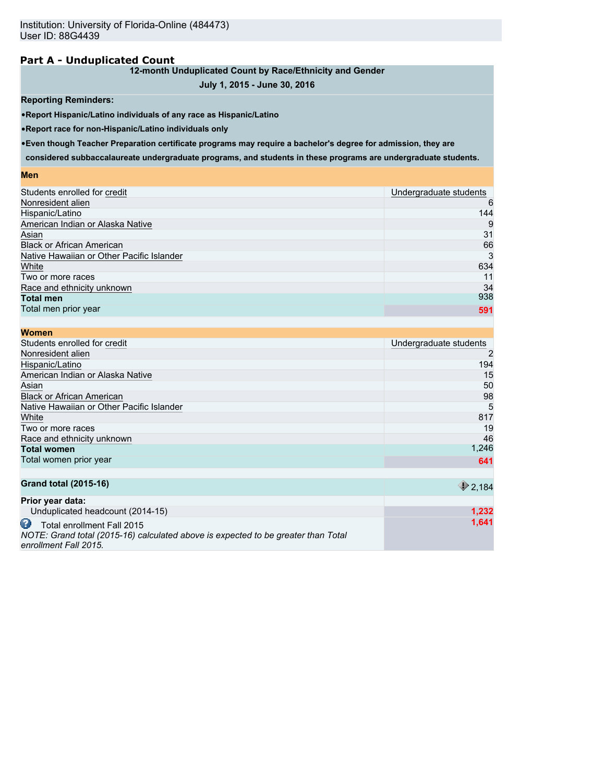### **Part A - Unduplicated Count**

### **12-month Unduplicated Count by Race/Ethnicity and Gender**

### **July 1, 2015 - June 30, 2016**

#### **Reporting Reminders:**

•**Report Hispanic/Latino individuals of any race as Hispanic/Latino**

•**Report race for non-Hispanic/Latino individuals only**

•**Even though Teacher Preparation certificate programs may require a bachelor's degree for admission, they are**

**considered subbaccalaureate undergraduate programs, and students in these programs are undergraduate students.**

#### **Men**

| Students enrolled for credit              | Undergraduate students |
|-------------------------------------------|------------------------|
| Nonresident alien                         | 6                      |
| Hispanic/Latino                           | 144                    |
| American Indian or Alaska Native          | 9                      |
| Asian                                     | 31                     |
| <b>Black or African American</b>          | 66                     |
| Native Hawaiian or Other Pacific Islander | 3                      |
| White                                     | 634                    |
| Two or more races                         | 11                     |
| Race and ethnicity unknown                | 34                     |
| <b>Total men</b>                          | 938                    |
| Total men prior year                      | 591                    |
|                                           |                        |

| <b>Women</b>                              |                        |
|-------------------------------------------|------------------------|
| Students enrolled for credit              | Undergraduate students |
| Nonresident alien                         | 2                      |
| Hispanic/Latino                           | 194                    |
| American Indian or Alaska Native          | 15                     |
| Asian                                     | 50                     |
| <b>Black or African American</b>          | 98                     |
| Native Hawaiian or Other Pacific Islander | 5                      |
| White                                     | 817                    |
| Two or more races                         | 19                     |
| Race and ethnicity unknown                | 46                     |
| <b>Total women</b>                        | 1,246                  |
| Total women prior year                    | 641                    |
|                                           |                        |
| <b>Grand total (2015-16)</b>              | 2.184                  |

|                                                                                   | ্জ ∠.।০ <del>৭</del> |
|-----------------------------------------------------------------------------------|----------------------|
| Prior year data:                                                                  |                      |
| Unduplicated headcount (2014-15)                                                  | 1.232                |
| Total enrollment Fall 2015                                                        | 1.641                |
| NOTE: Grand total (2015-16) calculated above is expected to be greater than Total |                      |
| enrollment Fall 2015.                                                             |                      |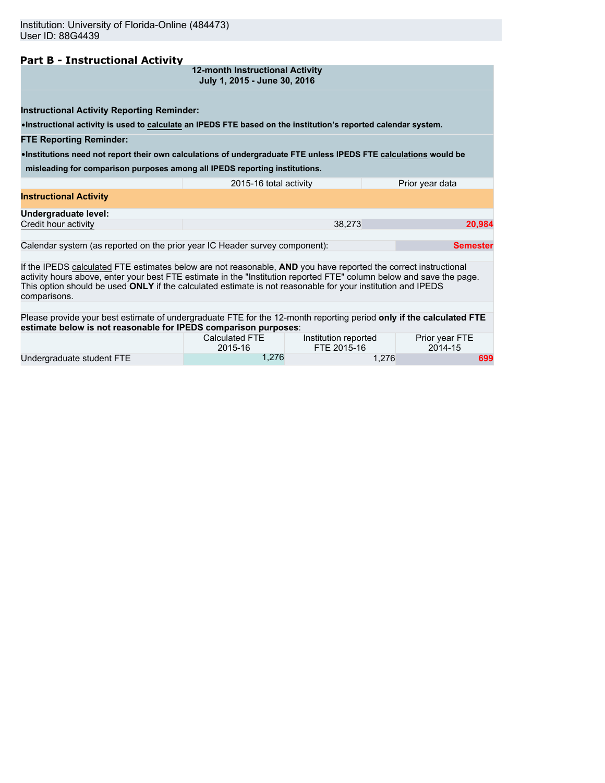### **Part B - Instructional Activity**

**12-month Instructional Activity July 1, 2015 - June 30, 2016**

**Instructional Activity Reporting Reminder:**

•**Instructional activity is used to calculate an IPEDS FTE based on the institution's reported calendar system.**

**FTE Reporting Reminder:**

•**Institutions need not report their own calculations of undergraduate FTE unless IPEDS FTE calculations would be**

**misleading for comparison purposes among all IPEDS reporting institutions.**

|                               | 2015-16 total activity | Prior year data |
|-------------------------------|------------------------|-----------------|
| <b>Instructional Activity</b> |                        |                 |
| Undergraduate level:          |                        |                 |
| Credit hour activity          | 38.273                 | 20.984          |
|                               |                        |                 |

Calendar system (as reported on the prior year IC Header survey component): **Semester Semester** 

If the IPEDS calculated FTE estimates below are not reasonable, **AND** you have reported the correct instructional activity hours above, enter your best FTE estimate in the "Institution reported FTE" column below and save the page. This option should be used **ONLY** if the calculated estimate is not reasonable for your institution and IPEDS comparisons.

Please provide your best estimate of undergraduate FTE for the 12-month reporting period **only if the calculated FTE estimate below is not reasonable for IPEDS comparison purposes**:

|                           | Calculated FTE | Institution reported | Prior year FTE |
|---------------------------|----------------|----------------------|----------------|
|                           | 2015-16        | FTE 2015-16          | 2014-15        |
| Undergraduate student FTE | 1.276          | 1.276                | 699            |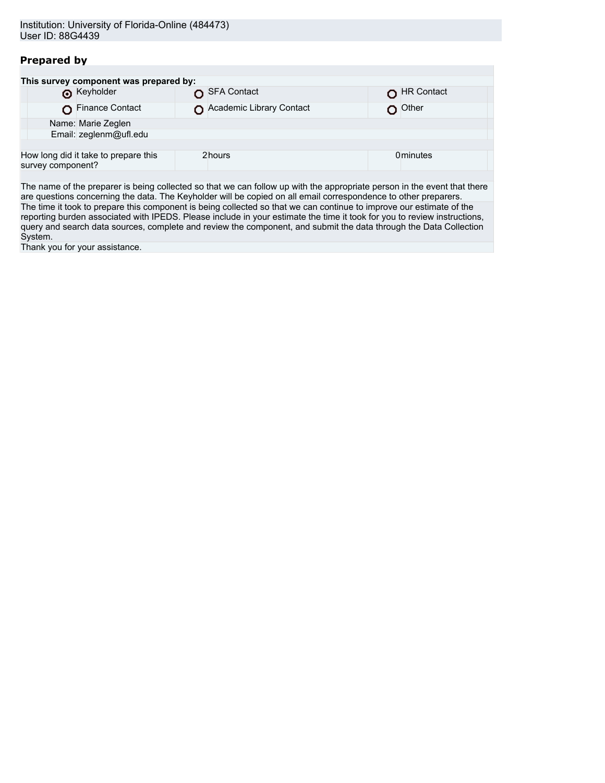# **Prepared by**

| This survey component was prepared by:                    |  |                          |  |                  |
|-----------------------------------------------------------|--|--------------------------|--|------------------|
| <b>O</b> Keyholder                                        |  | SFA Contact              |  | HR Contact       |
| Finance Contact                                           |  | Academic Library Contact |  | Other            |
| Name: Marie Zeglen                                        |  |                          |  |                  |
| Email: zeglenm@ufl.edu                                    |  |                          |  |                  |
|                                                           |  |                          |  |                  |
| How long did it take to prepare this<br>survey component? |  | 2hours                   |  | <b>0</b> minutes |
|                                                           |  |                          |  |                  |

The name of the preparer is being collected so that we can follow up with the appropriate person in the event that there are questions concerning the data. The Keyholder will be copied on all email correspondence to other preparers. The time it took to prepare this component is being collected so that we can continue to improve our estimate of the reporting burden associated with IPEDS. Please include in your estimate the time it took for you to review instructions, query and search data sources, complete and review the component, and submit the data through the Data Collection System.

Thank you for your assistance.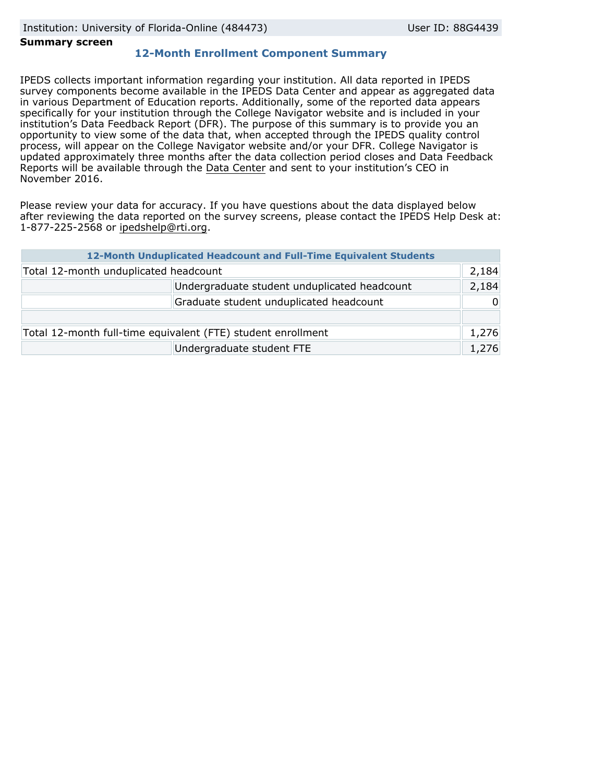#### **Summary screen**

### **12-Month Enrollment Component Summary**

IPEDS collects important information regarding your institution. All data reported in IPEDS survey components become available in the IPEDS Data Center and appear as aggregated data in various Department of Education reports. Additionally, some of the reported data appears specifically for your institution through the College Navigator website and is included in your institution's Data Feedback Report (DFR). The purpose of this summary is to provide you an opportunity to view some of the data that, when accepted through the IPEDS quality control process, will appear on the College Navigator website and/or your DFR. College Navigator is updated approximately three months after the data collection period closes and Data Feedback Reports will be available through the [Data Center](http://nces.ed.gov/ipeds/datacenter/) and sent to your institution's CEO in November 2016.

Please review your data for accuracy. If you have questions about the data displayed below after reviewing the data reported on the survey screens, please contact the IPEDS Help Desk at: 1-877-225-2568 or ipedshelp@rti.org.

|                                                              | 12-Month Unduplicated Headcount and Full-Time Equivalent Students |          |
|--------------------------------------------------------------|-------------------------------------------------------------------|----------|
| Total 12-month unduplicated headcount                        |                                                                   | 2,184    |
|                                                              | Undergraduate student unduplicated headcount                      | 2,184    |
|                                                              | Graduate student unduplicated headcount                           | $\Omega$ |
|                                                              |                                                                   |          |
| Total 12-month full-time equivalent (FTE) student enrollment |                                                                   | 1,276    |
|                                                              | Undergraduate student FTE                                         | 1,276    |